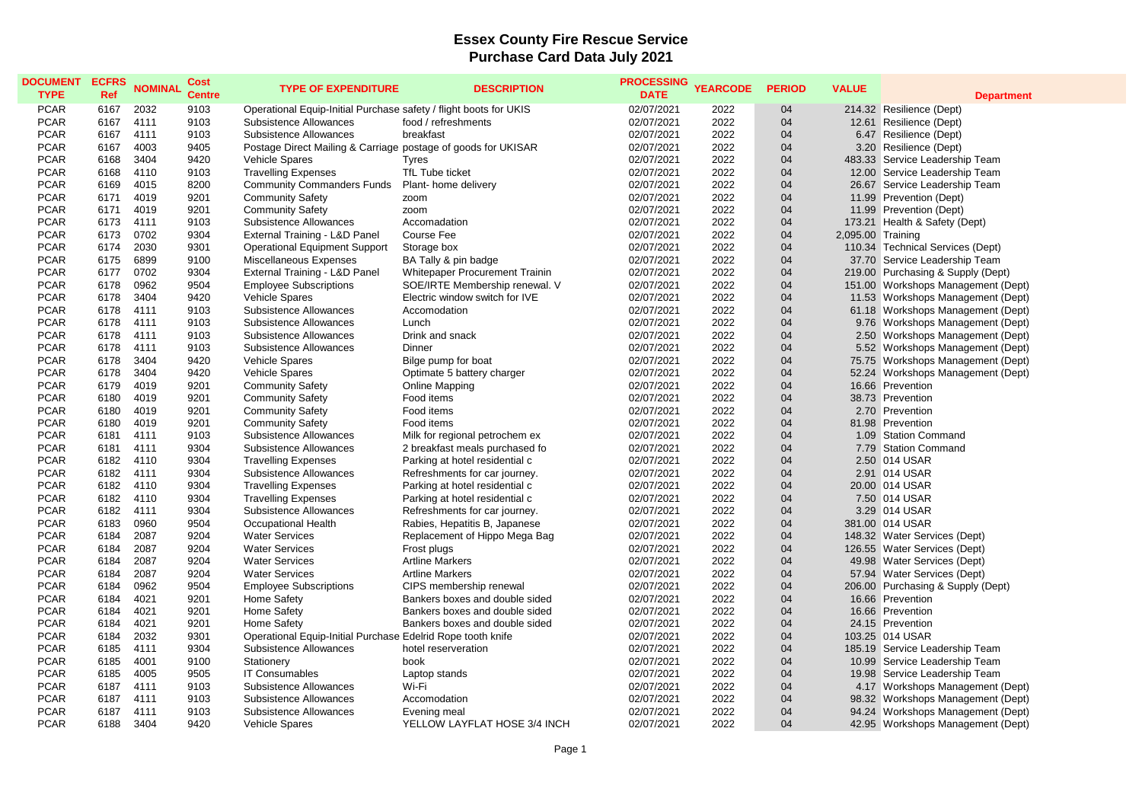## **Essex County Fire Rescue Service Purchase Card Data July 2021**

| <b>DOCUMENT</b> | <b>ECFRS</b> | <b>NOMINAL</b> | Cost          | <b>TYPE OF EXPENDITURE</b>                                        | <b>DESCRIPTION</b>             | <b>PROCESSING</b> | <b>YEARCODE</b> | <b>PERIOD</b> | <b>VALUE</b>      |                                    |
|-----------------|--------------|----------------|---------------|-------------------------------------------------------------------|--------------------------------|-------------------|-----------------|---------------|-------------------|------------------------------------|
| <b>TYPE</b>     | <b>Ref</b>   |                | <b>Centre</b> |                                                                   |                                | <b>DATE</b>       |                 |               |                   | <b>Department</b>                  |
| <b>PCAR</b>     | 6167         | 2032           | 9103          | Operational Equip-Initial Purchase safety / flight boots for UKIS |                                | 02/07/2021        | 2022            | 04            |                   | 214.32 Resilience (Dept)           |
| <b>PCAR</b>     | 6167         | 4111           | 9103          | Subsistence Allowances                                            | food / refreshments            | 02/07/2021        | 2022            | 04            |                   | 12.61 Resilience (Dept)            |
| <b>PCAR</b>     | 6167         | 4111           | 9103          | Subsistence Allowances                                            | breakfast                      | 02/07/2021        | 2022            | 04            |                   | 6.47 Resilience (Dept)             |
| <b>PCAR</b>     | 6167         | 4003           | 9405          | Postage Direct Mailing & Carriage postage of goods for UKISAR     |                                | 02/07/2021        | 2022            | 04            |                   | 3.20 Resilience (Dept)             |
| <b>PCAR</b>     | 6168         | 3404           | 9420          | <b>Vehicle Spares</b>                                             | <b>Tyres</b>                   | 02/07/2021        | 2022            | 04            |                   | 483.33 Service Leadership Team     |
| <b>PCAR</b>     | 6168         | 4110           | 9103          | <b>Travelling Expenses</b>                                        | TfL Tube ticket                | 02/07/2021        | 2022            | 04            |                   | 12.00 Service Leadership Team      |
| <b>PCAR</b>     | 6169         | 4015           | 8200          | <b>Community Commanders Funds</b>                                 | Plant- home delivery           | 02/07/2021        | 2022            | 04            |                   | 26.67 Service Leadership Team      |
| <b>PCAR</b>     | 6171         | 4019           | 9201          | <b>Community Safety</b>                                           | zoom                           | 02/07/2021        | 2022            | 04            |                   | 11.99 Prevention (Dept)            |
| <b>PCAR</b>     | 6171         | 4019           | 9201          | <b>Community Safety</b>                                           | zoom                           | 02/07/2021        | 2022            | 04            |                   | 11.99 Prevention (Dept)            |
| <b>PCAR</b>     | 6173         | 4111           | 9103          | Subsistence Allowances                                            | Accomadation                   | 02/07/2021        | 2022            | 04            |                   | 173.21 Health & Safety (Dept)      |
| <b>PCAR</b>     | 6173         | 0702           | 9304          | External Training - L&D Panel                                     | <b>Course Fee</b>              | 02/07/2021        | 2022            | 04            | 2,095.00 Training |                                    |
| <b>PCAR</b>     | 6174         | 2030           | 9301          | <b>Operational Equipment Support</b>                              | Storage box                    | 02/07/2021        | 2022            | 04            |                   | 110.34 Technical Services (Dept)   |
| <b>PCAR</b>     | 6175         | 6899           | 9100          | Miscellaneous Expenses                                            | BA Tally & pin badge           | 02/07/2021        | 2022            | 04            |                   | 37.70 Service Leadership Team      |
| <b>PCAR</b>     | 6177         | 0702           | 9304          | External Training - L&D Panel                                     | Whitepaper Procurement Trainin | 02/07/2021        | 2022            | 04            |                   | 219.00 Purchasing & Supply (Dept)  |
| <b>PCAR</b>     | 6178         | 0962           | 9504          | <b>Employee Subscriptions</b>                                     | SOE/IRTE Membership renewal. V | 02/07/2021        | 2022            | 04            |                   | 151.00 Workshops Management (Dept) |
| <b>PCAR</b>     | 6178         | 3404           | 9420          | Vehicle Spares                                                    | Electric window switch for IVE | 02/07/2021        | 2022            | 04            |                   | 11.53 Workshops Management (Dept)  |
| <b>PCAR</b>     | 6178         | 4111           | 9103          | Subsistence Allowances                                            | Accomodation                   | 02/07/2021        | 2022            | 04            |                   | 61.18 Workshops Management (Dept)  |
| <b>PCAR</b>     | 6178         | 4111           | 9103          | Subsistence Allowances                                            | Lunch                          | 02/07/2021        | 2022            | 04            |                   | 9.76 Workshops Management (Dept)   |
| <b>PCAR</b>     | 6178         | 4111           | 9103          | Subsistence Allowances                                            | Drink and snack                | 02/07/2021        | 2022            | 04            |                   | 2.50 Workshops Management (Dept)   |
| <b>PCAR</b>     | 6178         | 4111           | 9103          | Subsistence Allowances                                            | Dinner                         | 02/07/2021        | 2022            | 04            |                   | 5.52 Workshops Management (Dept)   |
| <b>PCAR</b>     | 6178         | 3404           | 9420          | Vehicle Spares                                                    | Bilge pump for boat            | 02/07/2021        | 2022            | 04            |                   | 75.75 Workshops Management (Dept)  |
| <b>PCAR</b>     | 6178         | 3404           | 9420          | Vehicle Spares                                                    | Optimate 5 battery charger     | 02/07/2021        | 2022            | 04            |                   | 52.24 Workshops Management (Dept)  |
| <b>PCAR</b>     | 6179         | 4019           | 9201          | <b>Community Safety</b>                                           | Online Mapping                 | 02/07/2021        | 2022            | 04            |                   | 16.66 Prevention                   |
| <b>PCAR</b>     | 6180         | 4019           | 9201          | <b>Community Safety</b>                                           | Food items                     | 02/07/2021        | 2022            | 04            |                   | 38.73 Prevention                   |
| <b>PCAR</b>     | 6180         | 4019           | 9201          | <b>Community Safety</b>                                           | Food items                     | 02/07/2021        | 2022            | 04            |                   | 2.70 Prevention                    |
| <b>PCAR</b>     | 6180         | 4019           | 9201          | <b>Community Safety</b>                                           | Food items                     | 02/07/2021        | 2022            | 04            |                   | 81.98 Prevention                   |
| <b>PCAR</b>     | 6181         | 4111           | 9103          | Subsistence Allowances                                            | Milk for regional petrochem ex | 02/07/2021        | 2022            | 04            |                   | 1.09 Station Command               |
| <b>PCAR</b>     | 6181         | 4111           | 9304          | Subsistence Allowances                                            | 2 breakfast meals purchased fo | 02/07/2021        | 2022            | 04            |                   | 7.79 Station Command               |
| <b>PCAR</b>     | 6182         | 4110           | 9304          | <b>Travelling Expenses</b>                                        | Parking at hotel residential c | 02/07/2021        | 2022            | 04            |                   | 2.50 014 USAR                      |
| <b>PCAR</b>     | 6182         | 4111           | 9304          | Subsistence Allowances                                            | Refreshments for car journey.  | 02/07/2021        | 2022            | 04            |                   | 2.91 014 USAR                      |
| <b>PCAR</b>     | 6182         | 4110           | 9304          | <b>Travelling Expenses</b>                                        | Parking at hotel residential c | 02/07/2021        | 2022            | 04            |                   | 20.00 014 USAR                     |
| <b>PCAR</b>     | 6182         | 4110           | 9304          | <b>Travelling Expenses</b>                                        | Parking at hotel residential c | 02/07/2021        | 2022            | 04            |                   | 7.50 014 USAR                      |
| <b>PCAR</b>     | 6182         | 4111           | 9304          | Subsistence Allowances                                            | Refreshments for car journey.  | 02/07/2021        | 2022            | 04            |                   | 3.29 014 USAR                      |
| <b>PCAR</b>     | 6183         | 0960           | 9504          | Occupational Health                                               | Rabies, Hepatitis B, Japanese  | 02/07/2021        | 2022            | 04            |                   | 381.00 014 USAR                    |
| <b>PCAR</b>     | 6184         | 2087           | 9204          | <b>Water Services</b>                                             | Replacement of Hippo Mega Bag  | 02/07/2021        | 2022            | 04            |                   | 148.32 Water Services (Dept)       |
| <b>PCAR</b>     | 6184         | 2087           | 9204          | <b>Water Services</b>                                             | Frost plugs                    | 02/07/2021        | 2022            | 04            |                   | 126.55 Water Services (Dept)       |
| <b>PCAR</b>     | 6184         | 2087           | 9204          | <b>Water Services</b>                                             | <b>Artline Markers</b>         | 02/07/2021        | 2022            | 04            |                   | 49.98 Water Services (Dept)        |
| <b>PCAR</b>     | 6184         | 2087           | 9204          | <b>Water Services</b>                                             | <b>Artline Markers</b>         | 02/07/2021        | 2022            | 04            |                   | 57.94 Water Services (Dept)        |
| <b>PCAR</b>     | 6184         | 0962           | 9504          | <b>Employee Subscriptions</b>                                     | CIPS membership renewal        | 02/07/2021        | 2022            | 04            |                   | 206.00 Purchasing & Supply (Dept)  |
| <b>PCAR</b>     | 6184         | 4021           | 9201          | <b>Home Safety</b>                                                | Bankers boxes and double sided | 02/07/2021        | 2022            | 04            |                   | 16.66 Prevention                   |
| <b>PCAR</b>     | 6184         | 4021           | 9201          | Home Safety                                                       | Bankers boxes and double sided | 02/07/2021        | 2022            | 04            |                   | 16.66 Prevention                   |
| <b>PCAR</b>     | 6184         | 4021           | 9201          | Home Safety                                                       | Bankers boxes and double sided | 02/07/2021        | 2022            | 04            |                   | 24.15 Prevention                   |
| <b>PCAR</b>     | 6184         | 2032           | 9301          | Operational Equip-Initial Purchase Edelrid Rope tooth knife       |                                | 02/07/2021        | 2022            | 04            |                   | 103.25 014 USAR                    |
| <b>PCAR</b>     | 6185         | 4111           | 9304          | Subsistence Allowances                                            | hotel reserveration            | 02/07/2021        | 2022            | 04            |                   | 185.19 Service Leadership Team     |
| <b>PCAR</b>     | 6185         | 4001           | 9100          | Stationery                                                        | book                           | 02/07/2021        | 2022            | 04            |                   | 10.99 Service Leadership Team      |
| <b>PCAR</b>     | 6185         | 4005           | 9505          | <b>IT Consumables</b>                                             | Laptop stands                  | 02/07/2021        | 2022            | 04            |                   | 19.98 Service Leadership Team      |
| <b>PCAR</b>     | 6187         | 4111           | 9103          | Subsistence Allowances                                            | Wi-Fi                          | 02/07/2021        | 2022            | 04            |                   | 4.17 Workshops Management (Dept)   |
| <b>PCAR</b>     | 6187         | 4111           | 9103          | Subsistence Allowances                                            | Accomodation                   | 02/07/2021        | 2022            | 04            |                   | 98.32 Workshops Management (Dept)  |
| <b>PCAR</b>     | 6187         | 4111           | 9103          | Subsistence Allowances                                            | Evening meal                   | 02/07/2021        | 2022            | 04            |                   | 94.24 Workshops Management (Dept)  |
| <b>PCAR</b>     | 6188         | 3404           | 9420          | Vehicle Spares                                                    | YELLOW LAYFLAT HOSE 3/4 INCH   | 02/07/2021        | 2022            | 04            |                   | 42.95 Workshops Management (Dept)  |
|                 |              |                |               |                                                                   |                                |                   |                 |               |                   |                                    |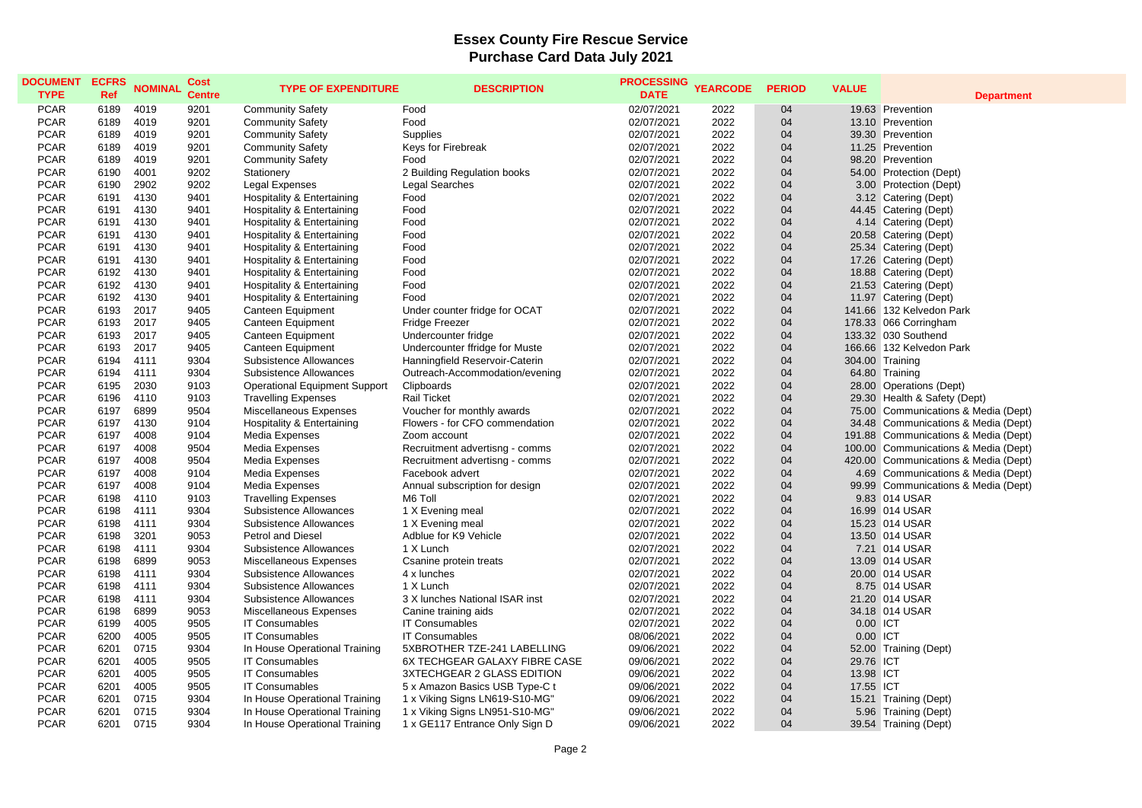## **Essex County Fire Rescue Service Purchase Card Data July 2021**

| <b>DOCUMENT</b><br><b>TYPE</b> | <b>ECFRS</b><br><b>Ref</b> | <b>NOMINAL</b> | <b>Cost</b><br><b>Centre</b> | <b>TYPE OF EXPENDITURE</b>           | <b>DESCRIPTION</b>             | <b>PROCESSING</b><br><b>DATE</b> | <b>YEARCODE</b> | <b>PERIOD</b> | <b>VALUE</b> | <b>Department</b>                             |
|--------------------------------|----------------------------|----------------|------------------------------|--------------------------------------|--------------------------------|----------------------------------|-----------------|---------------|--------------|-----------------------------------------------|
| <b>PCAR</b>                    | 6189                       | 4019           | 9201                         | <b>Community Safety</b>              | Food                           | 02/07/2021                       | 2022            | 04            |              | 19.63 Prevention                              |
| <b>PCAR</b>                    | 6189                       | 4019           | 9201                         | <b>Community Safety</b>              | Food                           | 02/07/2021                       | 2022            | 04            |              | 13.10 Prevention                              |
| <b>PCAR</b>                    | 6189                       | 4019           | 9201                         | <b>Community Safety</b>              | <b>Supplies</b>                | 02/07/2021                       | 2022            | 04            |              | 39.30 Prevention                              |
| <b>PCAR</b>                    | 6189                       | 4019           | 9201                         | <b>Community Safety</b>              | Keys for Firebreak             | 02/07/2021                       | 2022            | 04            |              | 11.25 Prevention                              |
| <b>PCAR</b>                    | 6189                       | 4019           | 9201                         | <b>Community Safety</b>              | Food                           | 02/07/2021                       | 2022            | 04            |              | 98.20 Prevention                              |
| <b>PCAR</b>                    | 6190                       | 4001           | 9202                         |                                      |                                | 02/07/2021                       | 2022            | 04            |              |                                               |
|                                |                            |                |                              | Stationery                           | 2 Building Regulation books    |                                  |                 | 04            |              | 54.00 Protection (Dept)                       |
| <b>PCAR</b>                    | 6190                       | 2902           | 9202                         | Legal Expenses                       | <b>Legal Searches</b>          | 02/07/2021                       | 2022            |               |              | 3.00 Protection (Dept)                        |
| <b>PCAR</b><br><b>PCAR</b>     | 6191                       | 4130           | 9401                         | Hospitality & Entertaining           | Food                           | 02/07/2021                       | 2022            | 04            |              | 3.12 Catering (Dept)                          |
|                                | 6191                       | 4130<br>4130   | 9401<br>9401                 | Hospitality & Entertaining           | Food<br>Food                   | 02/07/2021                       | 2022<br>2022    | 04<br>04      |              | 44.45 Catering (Dept)                         |
| <b>PCAR</b><br><b>PCAR</b>     | 6191<br>6191               | 4130           | 9401                         | Hospitality & Entertaining           | Food                           | 02/07/2021<br>02/07/2021         | 2022            | 04            |              | 4.14 Catering (Dept)<br>20.58 Catering (Dept) |
| <b>PCAR</b>                    | 6191                       | 4130           | 9401                         | Hospitality & Entertaining           | Food                           | 02/07/2021                       | 2022            | 04            |              |                                               |
|                                |                            |                |                              | Hospitality & Entertaining           |                                |                                  |                 |               |              | 25.34 Catering (Dept)                         |
| <b>PCAR</b>                    | 6191                       | 4130           | 9401                         | Hospitality & Entertaining           | Food                           | 02/07/2021                       | 2022            | 04<br>04      |              | 17.26 Catering (Dept)                         |
| <b>PCAR</b>                    | 6192                       | 4130<br>4130   | 9401                         | Hospitality & Entertaining           | Food                           | 02/07/2021                       | 2022            |               |              | 18.88 Catering (Dept)                         |
| <b>PCAR</b>                    | 6192                       |                | 9401                         | Hospitality & Entertaining           | Food                           | 02/07/2021                       | 2022            | 04            |              | 21.53 Catering (Dept)                         |
| <b>PCAR</b>                    | 6192                       | 4130           | 9401                         | Hospitality & Entertaining           | Food                           | 02/07/2021                       | 2022            | 04            |              | 11.97 Catering (Dept)                         |
| <b>PCAR</b>                    | 6193                       | 2017           | 9405                         | Canteen Equipment                    | Under counter fridge for OCAT  | 02/07/2021                       | 2022            | 04            |              | 141.66 132 Kelvedon Park                      |
| <b>PCAR</b>                    | 6193                       | 2017           | 9405                         | Canteen Equipment                    | <b>Fridge Freezer</b>          | 02/07/2021                       | 2022            | 04            |              | 178.33 066 Corringham                         |
| <b>PCAR</b>                    | 6193                       | 2017           | 9405                         | Canteen Equipment                    | Undercounter fridge            | 02/07/2021                       | 2022            | 04            |              | 133.32 030 Southend                           |
| <b>PCAR</b>                    | 6193                       | 2017           | 9405                         | Canteen Equipment                    | Undercounter ffridge for Muste | 02/07/2021                       | 2022            | 04            |              | 166.66 132 Kelvedon Park                      |
| <b>PCAR</b>                    | 6194                       | 4111           | 9304                         | Subsistence Allowances               | Hanningfield Reservoir-Caterin | 02/07/2021                       | 2022            | 04            |              | 304.00 Training                               |
| <b>PCAR</b>                    | 6194                       | 4111           | 9304                         | Subsistence Allowances               | Outreach-Accommodation/evening | 02/07/2021                       | 2022            | 04            |              | 64.80 Training                                |
| <b>PCAR</b>                    | 6195                       | 2030           | 9103                         | <b>Operational Equipment Support</b> | Clipboards                     | 02/07/2021                       | 2022            | 04            |              | 28.00 Operations (Dept)                       |
| <b>PCAR</b>                    | 6196                       | 4110           | 9103                         | <b>Travelling Expenses</b>           | Rail Ticket                    | 02/07/2021                       | 2022            | 04            |              | 29.30 Health & Safety (Dept)                  |
| <b>PCAR</b>                    | 6197                       | 6899           | 9504                         | Miscellaneous Expenses               | Voucher for monthly awards     | 02/07/2021                       | 2022            | 04            |              | 75.00 Communications & Media (Dept)           |
| <b>PCAR</b>                    | 6197                       | 4130           | 9104                         | Hospitality & Entertaining           | Flowers - for CFO commendation | 02/07/2021                       | 2022            | 04            |              | 34.48 Communications & Media (Dept)           |
| <b>PCAR</b>                    | 6197                       | 4008           | 9104                         | Media Expenses                       | Zoom account                   | 02/07/2021                       | 2022            | 04            |              | 191.88 Communications & Media (Dept)          |
| <b>PCAR</b>                    | 6197                       | 4008           | 9504                         | Media Expenses                       | Recruitment advertisng - comms | 02/07/2021                       | 2022            | 04            |              | 100.00 Communications & Media (Dept)          |
| <b>PCAR</b>                    | 6197                       | 4008           | 9504                         | Media Expenses                       | Recruitment advertisng - comms | 02/07/2021                       | 2022            | 04            |              | 420.00 Communications & Media (Dept)          |
| <b>PCAR</b>                    | 6197                       | 4008           | 9104                         | Media Expenses                       | Facebook advert                | 02/07/2021                       | 2022            | 04            |              | 4.69 Communications & Media (Dept)            |
| <b>PCAR</b>                    | 6197                       | 4008           | 9104                         | <b>Media Expenses</b>                | Annual subscription for design | 02/07/2021                       | 2022            | 04            |              | 99.99 Communications & Media (Dept)           |
| <b>PCAR</b>                    | 6198                       | 4110           | 9103                         | <b>Travelling Expenses</b>           | M6 Toll                        | 02/07/2021                       | 2022            | 04            |              | 9.83 014 USAR                                 |
| <b>PCAR</b>                    | 6198                       | 4111           | 9304                         | Subsistence Allowances               | 1 X Evening meal               | 02/07/2021                       | 2022            | 04            |              | 16.99 014 USAR                                |
| <b>PCAR</b>                    | 6198                       | 4111           | 9304                         | Subsistence Allowances               | 1 X Evening meal               | 02/07/2021                       | 2022            | 04            |              | 15.23 014 USAR                                |
| <b>PCAR</b>                    | 6198                       | 3201           | 9053                         | Petrol and Diesel                    | Adblue for K9 Vehicle          | 02/07/2021                       | 2022            | 04            |              | 13.50 014 USAR                                |
| <b>PCAR</b>                    | 6198                       | 4111           | 9304                         | Subsistence Allowances               | 1 X Lunch                      | 02/07/2021                       | 2022            | 04            |              | 7.21 014 USAR                                 |
| <b>PCAR</b>                    | 6198                       | 6899           | 9053                         | Miscellaneous Expenses               | Csanine protein treats         | 02/07/2021                       | 2022            | 04            |              | 13.09 014 USAR                                |
| <b>PCAR</b>                    | 6198                       | 4111           | 9304                         | Subsistence Allowances               | 4 x lunches                    | 02/07/2021                       | 2022            | 04            |              | 20.00 014 USAR                                |
| <b>PCAR</b>                    | 6198                       | 4111           | 9304                         | Subsistence Allowances               | 1 X Lunch                      | 02/07/2021                       | 2022            | 04            |              | 8.75 014 USAR                                 |
| <b>PCAR</b>                    | 6198                       | 4111           | 9304                         | Subsistence Allowances               | 3 X lunches National ISAR inst | 02/07/2021                       | 2022            | 04            |              | 21.20 014 USAR                                |
| <b>PCAR</b>                    | 6198                       | 6899           | 9053                         | Miscellaneous Expenses               | Canine training aids           | 02/07/2021                       | 2022            | 04            |              | 34.18 014 USAR                                |
| <b>PCAR</b>                    | 6199                       | 4005           | 9505                         | <b>IT Consumables</b>                | <b>IT Consumables</b>          | 02/07/2021                       | 2022            | 04            | 0.00 ICT     |                                               |
| <b>PCAR</b>                    | 6200                       | 4005           | 9505                         | <b>IT Consumables</b>                | <b>IT Consumables</b>          | 08/06/2021                       | 2022            | 04            | 0.00 ICT     |                                               |
| <b>PCAR</b>                    | 6201                       | 0715           | 9304                         | In House Operational Training        | 5XBROTHER TZE-241 LABELLING    | 09/06/2021                       | 2022            | 04            |              | 52.00 Training (Dept)                         |
| <b>PCAR</b>                    | 6201                       | 4005           | 9505                         | <b>IT Consumables</b>                | 6X TECHGEAR GALAXY FIBRE CASE  | 09/06/2021                       | 2022            | 04            | 29.76 ICT    |                                               |
| <b>PCAR</b>                    | 6201                       | 4005           | 9505                         | <b>IT Consumables</b>                | 3XTECHGEAR 2 GLASS EDITION     | 09/06/2021                       | 2022            | 04            | 13.98 ICT    |                                               |
| <b>PCAR</b>                    | 6201                       | 4005           | 9505                         | <b>IT Consumables</b>                | 5 x Amazon Basics USB Type-C t | 09/06/2021                       | 2022            | 04            | 17.55 ICT    |                                               |
| <b>PCAR</b>                    | 6201                       | 0715           | 9304                         | In House Operational Training        | 1 x Viking Signs LN619-S10-MG" | 09/06/2021                       | 2022            | 04            |              | 15.21 Training (Dept)                         |
| <b>PCAR</b>                    | 6201                       | 0715           | 9304                         | In House Operational Training        | 1 x Viking Signs LN951-S10-MG" | 09/06/2021                       | 2022            | 04            |              | 5.96 Training (Dept)                          |
| <b>PCAR</b>                    | 6201                       | 0715           | 9304                         | In House Operational Training        | 1 x GE117 Entrance Only Sign D | 09/06/2021                       | 2022            | 04            |              | 39.54 Training (Dept)                         |